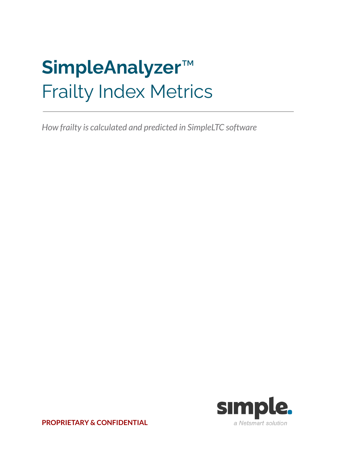# **SimpleAnalyzer**™ Frailty Index Metrics

*How frailty is calculated and predicted in SimpleLTC software*



**PROPRIETARY & CONFIDENTIAL**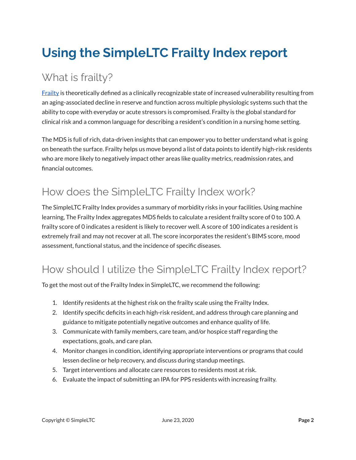## **Using the SimpleLTC Frailty Index report**

#### What is frailty?

[Frailty](https://www.ncbi.nlm.nih.gov/pmc/articles/PMC3028599/) is theoretically defined as a clinically recognizable state of increased vulnerability resulting from an aging-associated decline in reserve and function across multiple physiologic systems such that the ability to cope with everyday or acute stressors is compromised. Frailty is the global standard for clinical risk and a common language for describing a resident's condition in a nursing home setting.

The MDS is full of rich, data-driven insights that can empower you to better understand what is going on beneath the surface. Frailty helps us move beyond a list of data points to identify high-risk residents who are more likely to negatively impact other areas like quality metrics, readmission rates, and financial outcomes.

#### How does the SimpleLTC Frailty Index work?

The SimpleLTC Frailty Index provides a summary of morbidity risks in your facilities. Using machine learning, The Frailty Index aggregates MDS fields to calculate a resident frailty score of 0 to 100. A frailty score of 0 indicates a resident is likely to recover well. A score of 100 indicates a resident is extremely frail and may not recover at all. The score incorporates the resident's BIMS score, mood assessment, functional status, and the incidence of specific diseases.

#### How should I utilize the SimpleLTC Frailty Index report?

To get the most out of the Frailty Index in SimpleLTC, we recommend the following:

- 1. Identify residents at the highest risk on the frailty scale using the Frailty Index.
- 2. Identify specific deficits in each high-risk resident, and address through care planning and guidance to mitigate potentially negative outcomes and enhance quality of life.
- 3. Communicate with family members, care team, and/or hospice staff regarding the expectations, goals, and care plan.
- 4. Monitor changes in condition, identifying appropriate interventions or programs that could lessen decline or help recovery, and discuss during standup meetings.
- 5. Target interventions and allocate care resources to residents most at risk.
- 6. Evaluate the impact of submitting an IPA for PPS residents with increasing frailty.